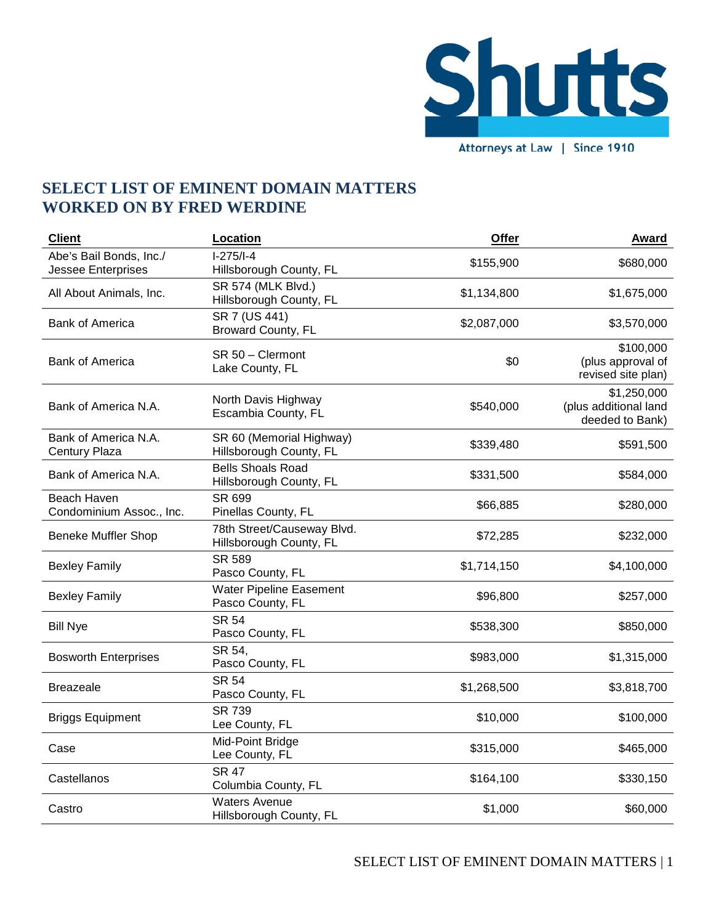

**SELECT LIST OF EMINENT DOMAIN MATTERS WORKED ON BY FRED WERDINE** 

| <b>Client</b>                                        | Location                                              | Offer       | <b>Award</b>                                            |
|------------------------------------------------------|-------------------------------------------------------|-------------|---------------------------------------------------------|
| Abe's Bail Bonds, Inc./<br><b>Jessee Enterprises</b> | $I-275/I-4$<br>Hillsborough County, FL                | \$155,900   | \$680,000                                               |
| All About Animals, Inc.                              | SR 574 (MLK Blvd.)<br>Hillsborough County, FL         | \$1,134,800 | \$1,675,000                                             |
| <b>Bank of America</b>                               | SR 7 (US 441)<br>Broward County, FL                   | \$2,087,000 | \$3,570,000                                             |
| <b>Bank of America</b>                               | SR 50 - Clermont<br>Lake County, FL                   | \$0         | \$100,000<br>(plus approval of<br>revised site plan)    |
| Bank of America N.A.                                 | North Davis Highway<br>Escambia County, FL            | \$540,000   | \$1,250,000<br>(plus additional land<br>deeded to Bank) |
| Bank of America N.A.<br>Century Plaza                | SR 60 (Memorial Highway)<br>Hillsborough County, FL   | \$339,480   | \$591,500                                               |
| Bank of America N.A.                                 | <b>Bells Shoals Road</b><br>Hillsborough County, FL   | \$331,500   | \$584,000                                               |
| Beach Haven<br>Condominium Assoc., Inc.              | SR 699<br>Pinellas County, FL                         | \$66,885    | \$280,000                                               |
| <b>Beneke Muffler Shop</b>                           | 78th Street/Causeway Blvd.<br>Hillsborough County, FL | \$72,285    | \$232,000                                               |
| <b>Bexley Family</b>                                 | <b>SR 589</b><br>Pasco County, FL                     | \$1,714,150 | \$4,100,000                                             |
| <b>Bexley Family</b>                                 | Water Pipeline Easement<br>Pasco County, FL           | \$96,800    | \$257,000                                               |
| <b>Bill Nye</b>                                      | <b>SR 54</b><br>Pasco County, FL                      | \$538,300   | \$850,000                                               |
| <b>Bosworth Enterprises</b>                          | SR 54,<br>Pasco County, FL                            | \$983,000   | \$1,315,000                                             |
| <b>Breazeale</b>                                     | <b>SR 54</b><br>Pasco County, FL                      | \$1,268,500 | \$3,818,700                                             |
| <b>Briggs Equipment</b>                              | <b>SR 739</b><br>Lee County, FL                       | \$10,000    | \$100,000                                               |
| Case                                                 | Mid-Point Bridge<br>Lee County, FL                    | \$315,000   | \$465,000                                               |
| Castellanos                                          | <b>SR 47</b><br>Columbia County, FL                   | \$164,100   | \$330,150                                               |
| Castro                                               | <b>Waters Avenue</b><br>Hillsborough County, FL       | \$1,000     | \$60,000                                                |

SELECT LIST OF EMINENT DOMAIN MATTERS | 1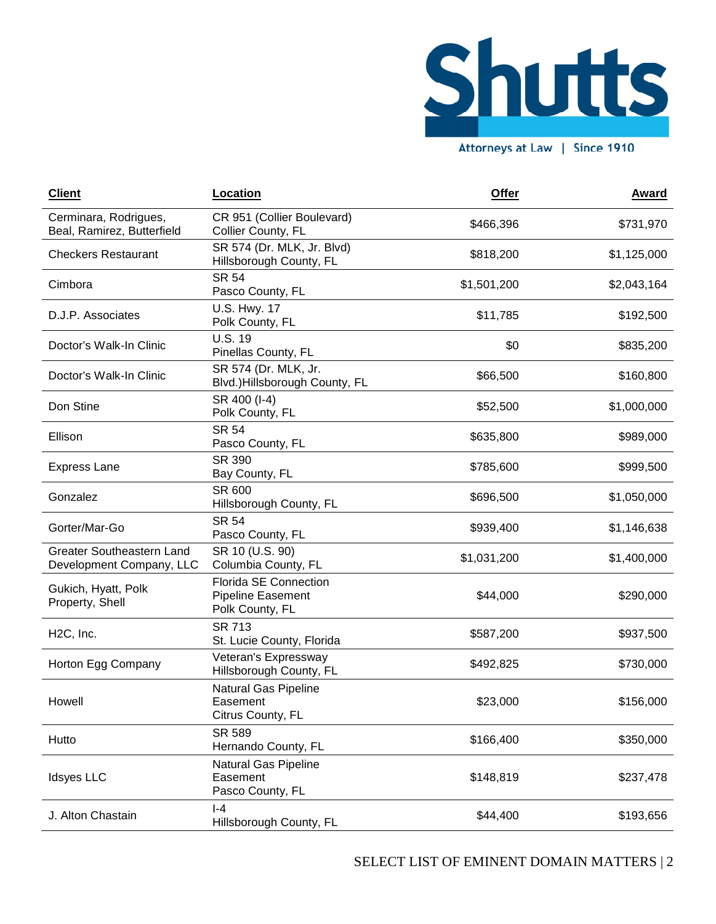

**Client Location Offer Award** Cerminara, Rodrigues, Beal, Ramirez, Butterfield CR 951 (Collier Boulevard) Collier County, FL **bullevallary 3466,396** \$731,970 Checkers Restaurant SR 574 (Dr. MLK, Jr. Blvd) السابوري المستورج المستورج المستورج المستورج المستورج المستورج المستورج المستورج المستورج المستورج المستورج ال<br>المستورج المستورج المستورج المستورج المستورج المستورج المستورج المستورج المستورج المستورج المستورج المستورج ال Cimbora SR 54 المادي 1,501,200 \$1,501,200 \$2,043,164<br>Pasco County, FL D.J.P. Associates U.S. Hwy. 17 Polk County, FL \$11,785 \$192,500 Doctor's Walk-In Clinic U.S. 19 olo. Talks County, FL  $$0$  \$835,200 \$835,200 Doctor's Walk-In Clinic SR 574 (Dr. MLK, Jr. Blvd.)Hillsborough County, FL \$66,500 \$160,800 Don Stine  $SR 400 (I-4)$ 91,000,000 \$1,000,000 \$1,000,000 \$1,000,000 \$1,000,000 \$1,000,000 Ellison SR 54 9635,800 \$989,000 \$989,000 \$989,000 \$989,000 \$989,000 \$989,000 \$989,000 \$989,000 \$989,000 \$989,000 \$989,000 \$9 Express Lane SR 390 31\\; 350<br>Bay County, FL \$785,600 \$999,500 Gonzalez SR 600 Hillsborough County, FL \$696,500 \$1,050,000 Gorter/Mar-Go SR 54 Pasco County, FL \$939,400 \$1,146,638 Greater Southeastern Land Development Company, LLC SR 10 (U.S. 90) SK 10 (O.S. 90)<br>Columbia County, FL \$1,031,200 \$1,400,000 Gukich, Hyatt, Polk Property, Shell Florida SE Connection Pipeline Easement Polk County, FL \$44,000 \$290,000 H2C, Inc. SR 713 St. 7.15<br>St. Lucie County, Florida 6587,200 \$937,500 Horton Egg Company Veteran's Expressway veteran's Expressway<br>Hillsborough County, FL 6492,825 \$730,000 Howell Natural Gas Pipeline Easement Citrus County, FL \$23,000 \$156,000 Hutto SR 589 المادي المستوى المستوى المستوى المستوى المستوى المستوى المستوى المستوى المستوى المستوى المستوى المستوى المستوى<br>المستوى المستوى المستوى المستوى المستوى المستوى المستوى المستوى المستوى المستوى المستوى المستوى المستوى المستو Idsyes LLC Natural Gas Pipeline **Easement** Pasco County, FL \$148,819 \$237,478 J. Alton Chastain I-4 Hillsborough County, FL \$44,400 \$193,656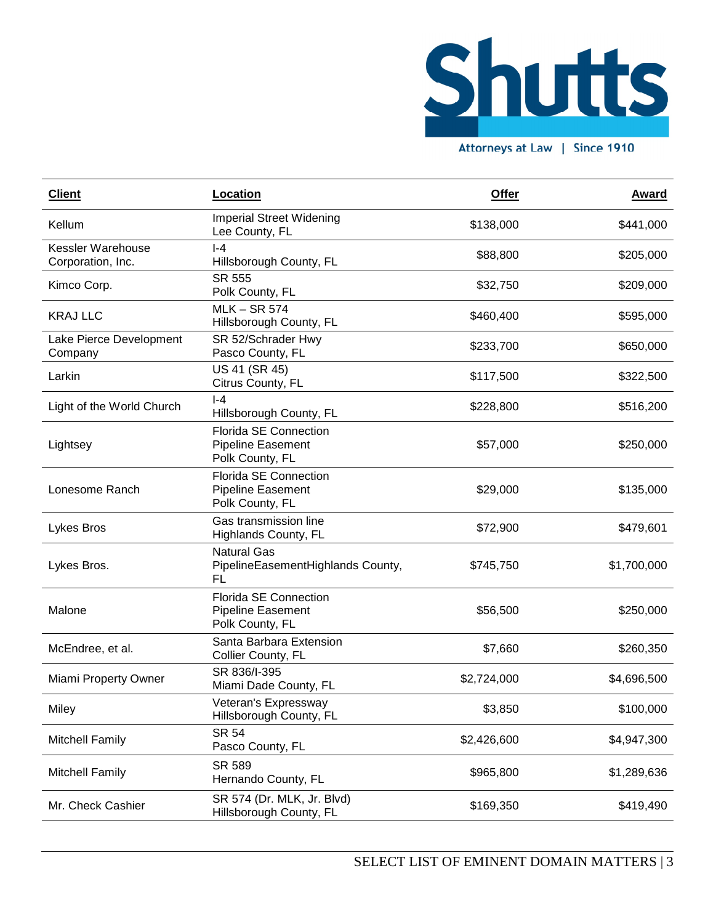

Attorneys at Law | Since 1910

| <b>Client</b>                          | Location                                                                    | <b>Offer</b> | <u>Award</u> |
|----------------------------------------|-----------------------------------------------------------------------------|--------------|--------------|
| Kellum                                 | <b>Imperial Street Widening</b><br>Lee County, FL                           | \$138,000    | \$441,000    |
| Kessler Warehouse<br>Corporation, Inc. | $-4$<br>Hillsborough County, FL                                             | \$88,800     | \$205,000    |
| Kimco Corp.                            | SR 555<br>Polk County, FL                                                   | \$32,750     | \$209,000    |
| <b>KRAJ LLC</b>                        | <b>MLK-SR 574</b><br>Hillsborough County, FL                                | \$460,400    | \$595,000    |
| Lake Pierce Development<br>Company     | SR 52/Schrader Hwy<br>Pasco County, FL                                      | \$233,700    | \$650,000    |
| Larkin                                 | US 41 (SR 45)<br>Citrus County, FL                                          | \$117,500    | \$322,500    |
| Light of the World Church              | l-4<br>Hillsborough County, FL                                              | \$228,800    | \$516,200    |
| Lightsey                               | <b>Florida SE Connection</b><br><b>Pipeline Easement</b><br>Polk County, FL | \$57,000     | \$250,000    |
| Lonesome Ranch                         | <b>Florida SE Connection</b><br><b>Pipeline Easement</b><br>Polk County, FL | \$29,000     | \$135,000    |
| Lykes Bros                             | Gas transmission line<br>Highlands County, FL                               | \$72,900     | \$479,601    |
| Lykes Bros.                            | <b>Natural Gas</b><br>PipelineEasementHighlands County,<br>FL               | \$745,750    | \$1,700,000  |
| Malone                                 | <b>Florida SE Connection</b><br><b>Pipeline Easement</b><br>Polk County, FL | \$56,500     | \$250,000    |
| McEndree, et al.                       | Santa Barbara Extension<br>Collier County, FL                               | \$7,660      | \$260,350    |
| Miami Property Owner                   | SR 836/I-395<br>Miami Dade County, FL                                       | \$2,724,000  | \$4,696,500  |
| Miley                                  | Veteran's Expressway<br>Hillsborough County, FL                             | \$3,850      | \$100,000    |
| <b>Mitchell Family</b>                 | <b>SR 54</b><br>Pasco County, FL                                            | \$2,426,600  | \$4,947,300  |
| <b>Mitchell Family</b>                 | SR 589<br>Hernando County, FL                                               | \$965,800    | \$1,289,636  |
| Mr. Check Cashier                      | SR 574 (Dr. MLK, Jr. Blvd)<br>Hillsborough County, FL                       | \$169,350    | \$419,490    |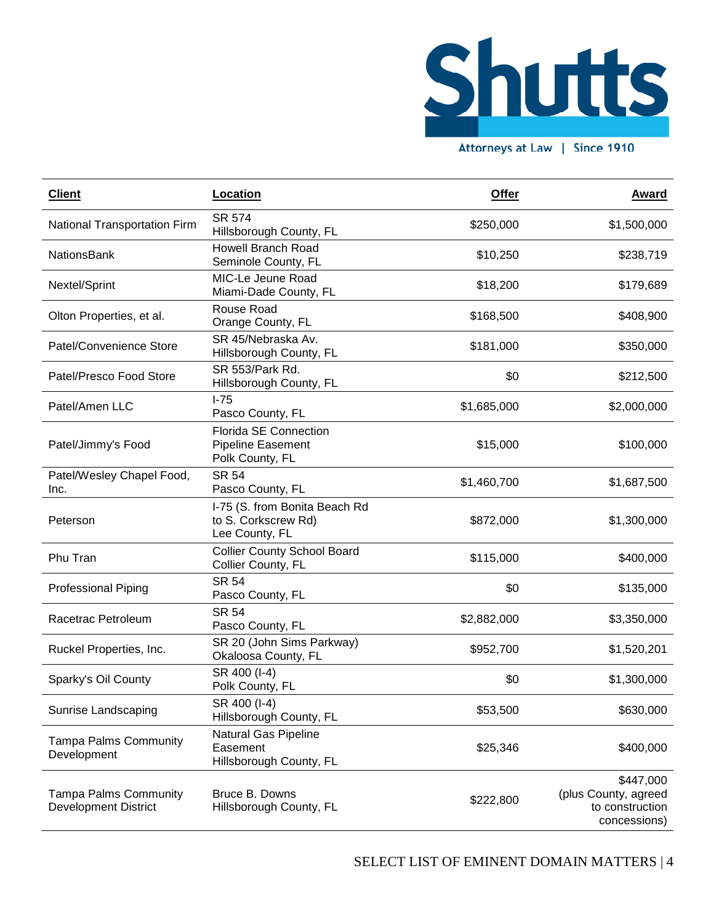

Attorneys at Law | Since 1910

| <b>Client</b>                                               | Location                                                               | Offer       | <b>Award</b>                                                         |
|-------------------------------------------------------------|------------------------------------------------------------------------|-------------|----------------------------------------------------------------------|
| National Transportation Firm                                | <b>SR 574</b><br>Hillsborough County, FL                               | \$250,000   | \$1,500,000                                                          |
| <b>NationsBank</b>                                          | <b>Howell Branch Road</b><br>Seminole County, FL                       | \$10,250    | \$238,719                                                            |
| Nextel/Sprint                                               | MIC-Le Jeune Road<br>Miami-Dade County, FL                             | \$18,200    | \$179,689                                                            |
| Olton Properties, et al.                                    | Rouse Road<br>Orange County, FL                                        | \$168,500   | \$408,900                                                            |
| Patel/Convenience Store                                     | SR 45/Nebraska Av.<br>Hillsborough County, FL                          | \$181,000   | \$350,000                                                            |
| Patel/Presco Food Store                                     | SR 553/Park Rd.<br>Hillsborough County, FL                             | \$0         | \$212,500                                                            |
| Patel/Amen LLC                                              | $I-75$<br>Pasco County, FL                                             | \$1,685,000 | \$2,000,000                                                          |
| Patel/Jimmy's Food                                          | <b>Florida SE Connection</b><br>Pipeline Easement<br>Polk County, FL   | \$15,000    | \$100,000                                                            |
| Patel/Wesley Chapel Food,<br>Inc.                           | <b>SR 54</b><br>Pasco County, FL                                       | \$1,460,700 | \$1,687,500                                                          |
| Peterson                                                    | I-75 (S. from Bonita Beach Rd<br>to S. Corkscrew Rd)<br>Lee County, FL | \$872,000   | \$1,300,000                                                          |
| Phu Tran                                                    | <b>Collier County School Board</b><br>Collier County, FL               | \$115,000   | \$400,000                                                            |
| <b>Professional Piping</b>                                  | <b>SR 54</b><br>Pasco County, FL                                       | \$0         | \$135,000                                                            |
| Racetrac Petroleum                                          | <b>SR 54</b><br>Pasco County, FL                                       | \$2,882,000 | \$3,350,000                                                          |
| Ruckel Properties, Inc.                                     | SR 20 (John Sims Parkway)<br>Okaloosa County, FL                       | \$952,700   | \$1,520,201                                                          |
| Sparky's Oil County                                         | SR 400 (I-4)<br>Polk County, FL                                        | \$0         | \$1,300,000                                                          |
| Sunrise Landscaping                                         | SR 400 (I-4)<br>Hillsborough County, FL                                | \$53,500    | \$630,000                                                            |
| <b>Tampa Palms Community</b><br>Development                 | Natural Gas Pipeline<br>Easement<br>Hillsborough County, FL            | \$25,346    | \$400,000                                                            |
| <b>Tampa Palms Community</b><br><b>Development District</b> | Bruce B. Downs<br>Hillsborough County, FL                              | \$222,800   | \$447,000<br>(plus County, agreed<br>to construction<br>concessions) |